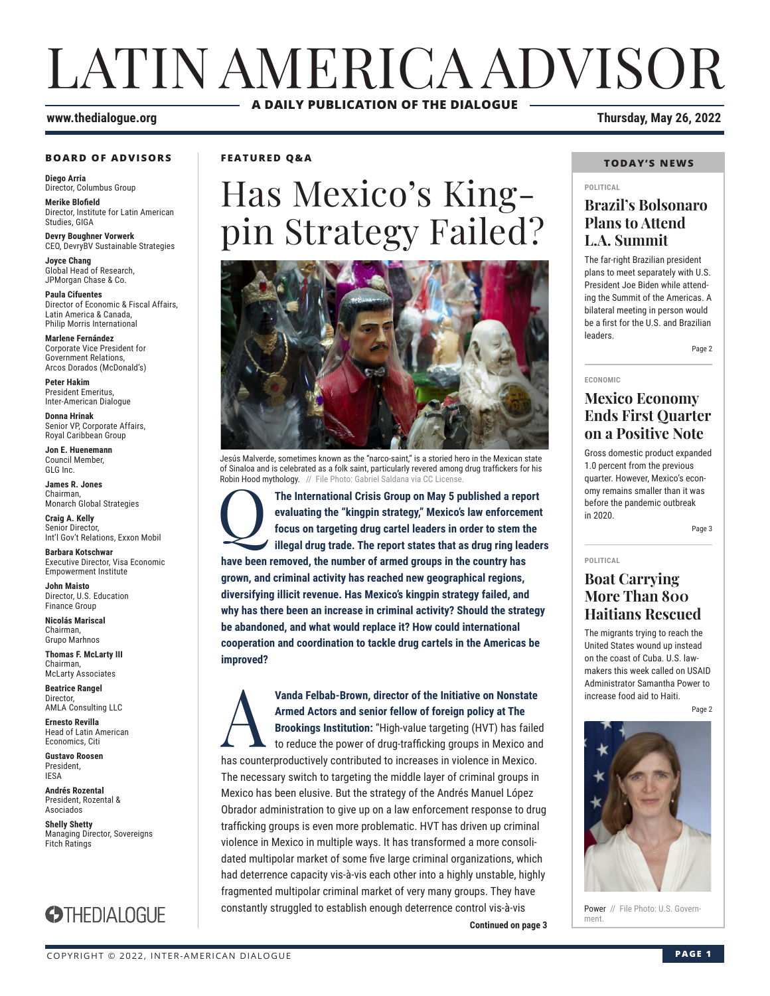# LATIN AMERICA ADVISOR **A DAILY PUBLICATION OF THE DIALOGUE**

#### **www.thedialogue.org Thursday, May 26, 2022**

#### **BOARD OF ADVISORS**

**Diego Arria** Director, Columbus Group

**Merike Blofield** Director, Institute for Latin American Studies, GIGA

**Devry Boughner Vorwerk** CEO, DevryBV Sustainable Strategies

**Joyce Chang** Global Head of Research, JPMorgan Chase & Co.

**Paula Cifuentes** Director of Economic & Fiscal Affairs, Latin America & Canada, Philip Morris International

**Marlene Fernández** Corporate Vice President for Government Relations, Arcos Dorados (McDonald's)

**Peter Hakim** President Emeritus, Inter-American Dialogue

**Donna Hrinak** Senior VP, Corporate Affairs, Royal Caribbean Group

**Jon E. Huenemann** Council Member, GLG Inc.

**James R. Jones** Chairman, Monarch Global Strategies

**Craig A. Kelly** Senior Director, Int'l Gov't Relations, Exxon Mobil

**Barbara Kotschwar** Executive Director, Visa Economic Empowerment Institute

**John Maisto** Director, U.S. Education Finance Group

**Nicolás Mariscal** Chairman, Grupo Marhnos

**Thomas F. McLarty III** Chairman, McLarty Associates

**Beatrice Rangel**  Director, AMLA Consulting LLC

**Ernesto Revilla**  Head of Latin American Economics, Citi

**Gustavo Roosen** President, IESA

**Andrés Rozental**  President, Rozental & Asociados

**Shelly Shetty** Managing Director, Sovereigns Fitch Ratings



### **FEATURED Q&A**

# Has Mexico's Kingpin Strategy Failed?



Jesús Malverde, sometimes known as the "narco-saint," is a storied hero in the Mexican state of Sinaloa and is celebrated as a folk saint, particularly revered among drug traffickers for his Robin Hood mythology. // File Photo: Gabriel Saldana via CC Licens

The International Crisis Group on May 5 published a report evaluating the "kingpin strategy," Mexico's law enforcement focus on targeting drug cartel leaders in order to stem the illegal drug trade. The report states that **evaluating the "kingpin strategy," Mexico's law enforcement focus on targeting drug cartel leaders in order to stem the illegal drug trade. The report states that as drug ring leaders have been removed, the number of armed groups in the country has grown, and criminal activity has reached new geographical regions, diversifying illicit revenue. Has Mexico's kingpin strategy failed, and why has there been an increase in criminal activity? Should the strategy be abandoned, and what would replace it? How could international cooperation and coordination to tackle drug cartels in the Americas be improved?**

**Continued on page 3 IDENET** Vanda Felbab-Brown, director of the Initiative on Nonstate<br>Armed Actors and senior fellow of foreign policy at The<br>Brookings Institution: "High-value targeting (HVT) has failed<br>to reduce the power of drug-trafficking group **Armed Actors and senior fellow of foreign policy at The Brookings Institution:** "High-value targeting (HVT) has failed to reduce the power of drug-trafficking groups in Mexico and has counterproductively contributed to increases in violence in Mexico. The necessary switch to targeting the middle layer of criminal groups in Mexico has been elusive. But the strategy of the Andrés Manuel López Obrador administration to give up on a law enforcement response to drug trafficking groups is even more problematic. HVT has driven up criminal violence in Mexico in multiple ways. It has transformed a more consolidated multipolar market of some five large criminal organizations, which had deterrence capacity vis-à-vis each other into a highly unstable, highly fragmented multipolar criminal market of very many groups. They have constantly struggled to establish enough deterrence control vis-à-vis

#### **TODAY'S NEWS**

#### **POLITICAL**

### **Brazil's Bolsonaro Plans to Attend L.A. Summit**

The far-right Brazilian president plans to meet separately with U.S. President Joe Biden while attending the Summit of the Americas. A bilateral meeting in person would be a first for the U.S. and Brazilian leaders.

Page 2

#### **ECONOMIC**

### **Mexico Economy Ends First Quarter on a Positive Note**

Gross domestic product expanded 1.0 percent from the previous quarter. However, Mexico's economy remains smaller than it was before the pandemic outbreak in 2020.

Page 3

#### **POLITICAL**

### **Boat Carrying More Than 800 Haitians Rescued**

The migrants trying to reach the United States wound up instead on the coast of Cuba. U.S. lawmakers this week called on USAID Administrator Samantha Power to increase food aid to Haiti.

Page 2



Power // File Photo: U.S. Govern-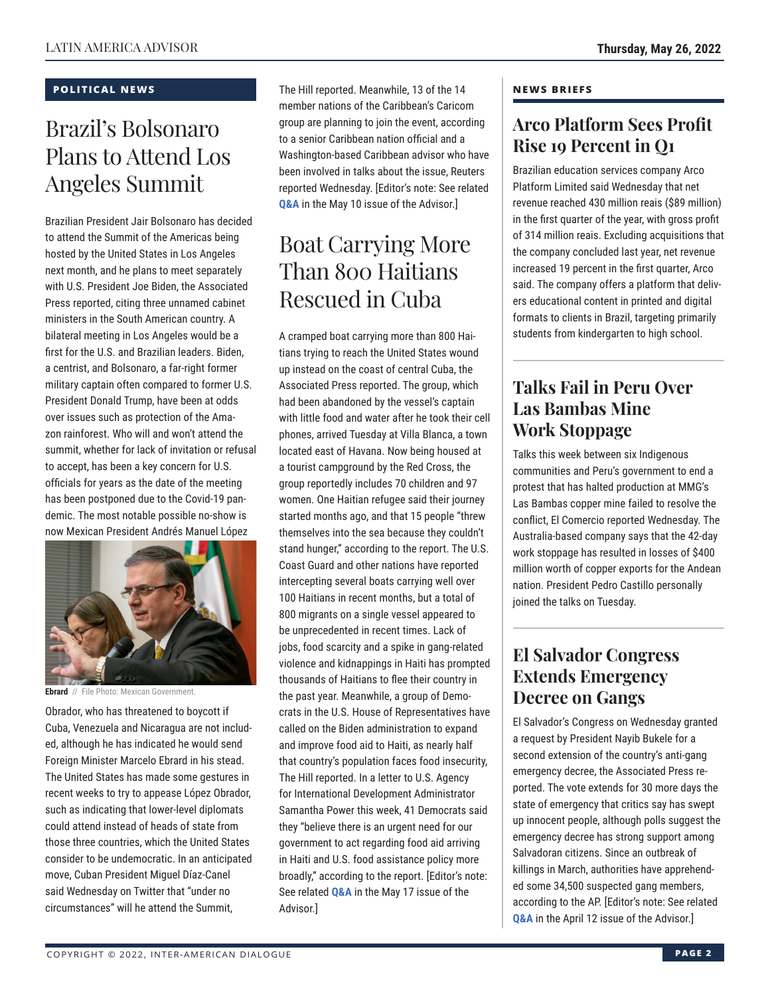### **POLITICAL NEWS**

# Brazil's Bolsonaro Plans to Attend Los Angeles Summit

Brazilian President Jair Bolsonaro has decided to attend the Summit of the Americas being hosted by the United States in Los Angeles next month, and he plans to meet separately with U.S. President Joe Biden, the Associated Press reported, citing three unnamed cabinet ministers in the South American country. A bilateral meeting in Los Angeles would be a first for the U.S. and Brazilian leaders. Biden, a centrist, and Bolsonaro, a far-right former military captain often compared to former U.S. President Donald Trump, have been at odds over issues such as protection of the Amazon rainforest. Who will and won't attend the summit, whether for lack of invitation or refusal to accept, has been a key concern for U.S. officials for years as the date of the meeting has been postponed due to the Covid-19 pandemic. The most notable possible no-show is now Mexican President Andrés Manuel López



**Ebrard** // File Photo: Mexican Government.

Obrador, who has threatened to boycott if Cuba, Venezuela and Nicaragua are not included, although he has indicated he would send Foreign Minister Marcelo Ebrard in his stead. The United States has made some gestures in recent weeks to try to appease López Obrador, such as indicating that lower-level diplomats could attend instead of heads of state from those three countries, which the United States consider to be undemocratic. In an anticipated move, Cuban President Miguel Díaz-Canel said Wednesday on Twitter that "under no circumstances" will he attend the Summit,

The Hill reported. Meanwhile, 13 of the 14 member nations of the Caribbean's Caricom group are planning to join the event, according to a senior Caribbean nation official and a Washington-based Caribbean advisor who have been involved in talks about the issue, Reuters reported Wednesday. [Editor's note: See related **[Q&A](https://www.thedialogue.org/wp-content/uploads/2022/05/LAA220510.pdf)** in the May 10 issue of the Advisor.]

# Boat Carrying More Than 800 Haitians Rescued in Cuba

A cramped boat carrying more than 800 Haitians trying to reach the United States wound up instead on the coast of central Cuba, the Associated Press reported. The group, which had been abandoned by the vessel's captain with little food and water after he took their cell phones, arrived Tuesday at Villa Blanca, a town located east of Havana. Now being housed at a tourist campground by the Red Cross, the group reportedly includes 70 children and 97 women. One Haitian refugee said their journey started months ago, and that 15 people "threw themselves into the sea because they couldn't stand hunger," according to the report. The U.S. Coast Guard and other nations have reported intercepting several boats carrying well over 100 Haitians in recent months, but a total of 800 migrants on a single vessel appeared to be unprecedented in recent times. Lack of jobs, food scarcity and a spike in gang-related violence and kidnappings in Haiti has prompted thousands of Haitians to flee their country in the past year. Meanwhile, a group of Democrats in the U.S. House of Representatives have called on the Biden administration to expand and improve food aid to Haiti, as nearly half that country's population faces food insecurity, The Hill reported. In a letter to U.S. Agency for International Development Administrator Samantha Power this week, 41 Democrats said they "believe there is an urgent need for our government to act regarding food aid arriving in Haiti and U.S. food assistance policy more broadly," according to the report. [Editor's note: See related **[Q&A](https://www.thedialogue.org/wp-content/uploads/2022/05/LAA220517.pdf)** in the May 17 issue of the Advisor.]

### **NEWS BRIEFS**

### **Arco Platform Sees Profit Rise 19 Percent in Q1**

Brazilian education services company Arco Platform Limited said Wednesday that net revenue reached 430 million reais (\$89 million) in the first quarter of the year, with gross profit of 314 million reais. Excluding acquisitions that the company concluded last year, net revenue increased 19 percent in the first quarter, Arco said. The company offers a platform that delivers educational content in printed and digital formats to clients in Brazil, targeting primarily students from kindergarten to high school.

### **Talks Fail in Peru Over Las Bambas Mine Work Stoppage**

Talks this week between six Indigenous communities and Peru's government to end a protest that has halted production at MMG's Las Bambas copper mine failed to resolve the conflict, El Comercio reported Wednesday. The Australia-based company says that the 42-day work stoppage has resulted in losses of \$400 million worth of copper exports for the Andean nation. President Pedro Castillo personally joined the talks on Tuesday.

### **El Salvador Congress Extends Emergency Decree on Gangs**

El Salvador's Congress on Wednesday granted a request by President Nayib Bukele for a second extension of the country's anti-gang emergency decree, the Associated Press reported. The vote extends for 30 more days the state of emergency that critics say has swept up innocent people, although polls suggest the emergency decree has strong support among Salvadoran citizens. Since an outbreak of killings in March, authorities have apprehended some 34,500 suspected gang members, according to the AP. [Editor's note: See related **[Q&A](https://www.thedialogue.org/wp-content/uploads/2022/04/LAA220412.pdf)** in the April 12 issue of the Advisor.]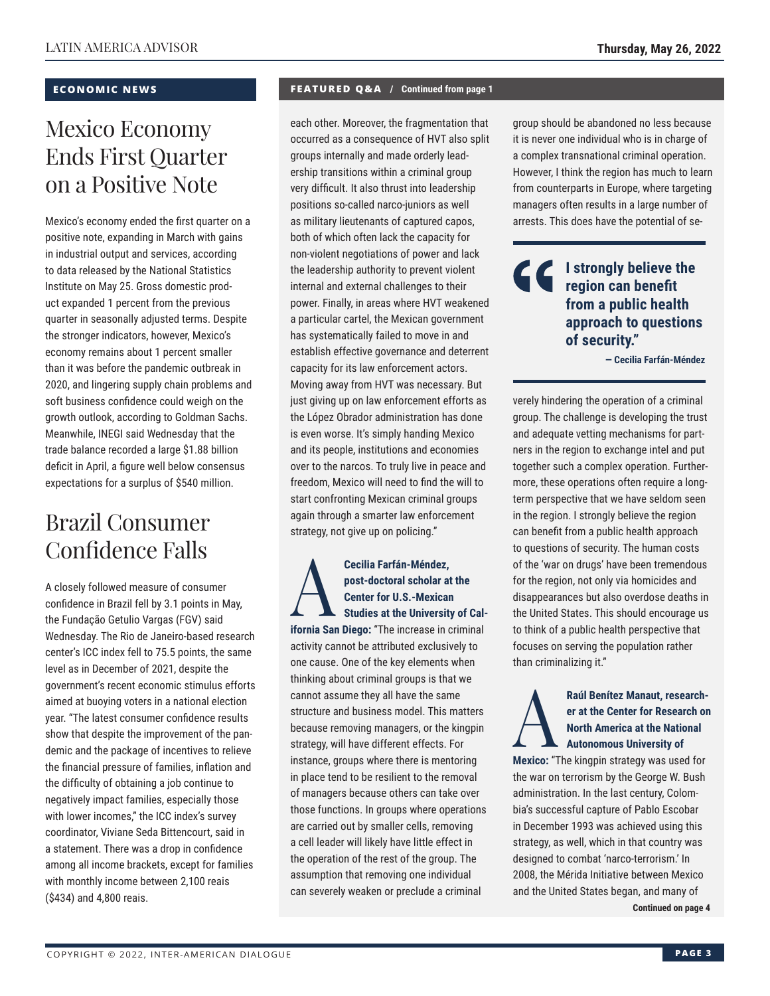### **ECONOMIC NEWS**

# Mexico Economy Ends First Quarter on a Positive Note

Mexico's economy ended the first quarter on a positive note, expanding in March with gains in industrial output and services, according to data released by the National Statistics Institute on May 25. Gross domestic product expanded 1 percent from the previous quarter in seasonally adjusted terms. Despite the stronger indicators, however, Mexico's economy remains about 1 percent smaller than it was before the pandemic outbreak in 2020, and lingering supply chain problems and soft business confidence could weigh on the growth outlook, according to Goldman Sachs. Meanwhile, INEGI said Wednesday that the trade balance recorded a large \$1.88 billion deficit in April, a figure well below consensus expectations for a surplus of \$540 million.

## Brazil Consumer Confidence Falls

A closely followed measure of consumer confidence in Brazil fell by 3.1 points in May, the Fundação Getulio Vargas (FGV) said Wednesday. The Rio de Janeiro-based research center's ICC index fell to 75.5 points, the same level as in December of 2021, despite the government's recent economic stimulus efforts aimed at buoying voters in a national election year. "The latest consumer confidence results show that despite the improvement of the pandemic and the package of incentives to relieve the financial pressure of families, inflation and the difficulty of obtaining a job continue to negatively impact families, especially those with lower incomes," the ICC index's survey coordinator, Viviane Seda Bittencourt, said in a statement. There was a drop in confidence among all income brackets, except for families with monthly income between 2,100 reais (\$434) and 4,800 reais.

### **FEATURED Q&A / Continued from page 1**

each other. Moreover, the fragmentation that occurred as a consequence of HVT also split groups internally and made orderly leadership transitions within a criminal group very difficult. It also thrust into leadership positions so-called narco-juniors as well as military lieutenants of captured capos, both of which often lack the capacity for non-violent negotiations of power and lack the leadership authority to prevent violent internal and external challenges to their power. Finally, in areas where HVT weakened a particular cartel, the Mexican government has systematically failed to move in and establish effective governance and deterrent capacity for its law enforcement actors. Moving away from HVT was necessary. But just giving up on law enforcement efforts as the López Obrador administration has done is even worse. It's simply handing Mexico and its people, institutions and economies over to the narcos. To truly live in peace and freedom, Mexico will need to find the will to start confronting Mexican criminal groups again through a smarter law enforcement strategy, not give up on policing."

**Cecilia Farfán-Méndez,<br>
post-doctoral scholar at the<br>
Center for U.S.-Mexican<br>
Studies at the University of Cal-<br>
Studies at the University of Calpost-doctoral scholar at the Center for U.S.-Mexican ifornia San Diego:** "The increase in criminal activity cannot be attributed exclusively to one cause. One of the key elements when thinking about criminal groups is that we cannot assume they all have the same structure and business model. This matters because removing managers, or the kingpin strategy, will have different effects. For instance, groups where there is mentoring in place tend to be resilient to the removal of managers because others can take over those functions. In groups where operations are carried out by smaller cells, removing a cell leader will likely have little effect in the operation of the rest of the group. The assumption that removing one individual can severely weaken or preclude a criminal

group should be abandoned no less because it is never one individual who is in charge of a complex transnational criminal operation. However, I think the region has much to learn from counterparts in Europe, where targeting managers often results in a large number of arrests. This does have the potential of se-

### **I strongly believe the region can benefit from a public health approach to questions of security."**

**— Cecilia Farfán-Méndez**

verely hindering the operation of a criminal group. The challenge is developing the trust and adequate vetting mechanisms for partners in the region to exchange intel and put together such a complex operation. Furthermore, these operations often require a longterm perspective that we have seldom seen in the region. I strongly believe the region can benefit from a public health approach to questions of security. The human costs of the 'war on drugs' have been tremendous for the region, not only via homicides and disappearances but also overdose deaths in the United States. This should encourage us to think of a public health perspective that focuses on serving the population rather than criminalizing it."

### Raúl Benítez Manaut, research-<br>
er at the Center for Research or<br>
North America at the National<br>
Autonomous University of **er at the Center for Research on North America at the National Autonomous University of**

**Mexico:** "The kingpin strategy was used for the war on terrorism by the George W. Bush administration. In the last century, Colombia's successful capture of Pablo Escobar in December 1993 was achieved using this strategy, as well, which in that country was designed to combat 'narco-terrorism.' In 2008, the Mérida Initiative between Mexico and the United States began, and many of

**Continued on page 4**